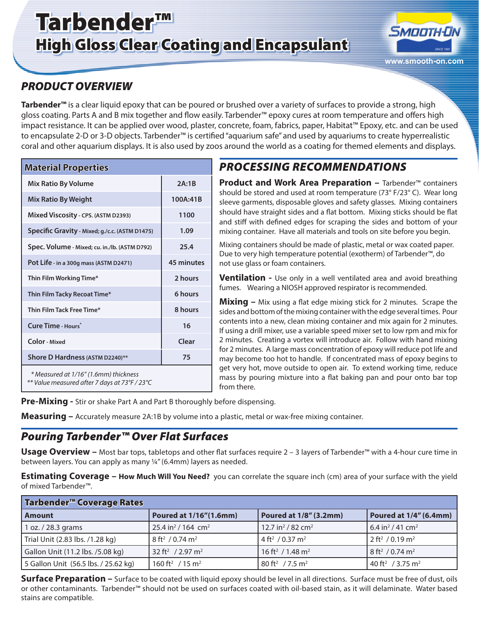# Tarbender™ High Gloss Clear Coating and Encapsulant



### *PRODUCT OVERVIEW*

**Tarbender™** is a clear liquid epoxy that can be poured or brushed over a variety of surfaces to provide a strong, high gloss coating. Parts A and B mix together and flow easily. Tarbender™ epoxy cures at room temperature and offers high impact resistance. It can be applied over wood, plaster, concrete, foam, fabrics, paper, Habitat™ Epoxy, etc. and can be used to encapsulate 2-D or 3-D objects. Tarbender™ is certified "aquarium safe" and used by aquariums to create hyperrealistic coral and other aquarium displays. It is also used by zoos around the world as a coating for themed elements and displays.

| <b>Material Properties</b>                                                             |                   |  |  |
|----------------------------------------------------------------------------------------|-------------------|--|--|
| <b>Mix Ratio By Volume</b>                                                             | 2A:1B             |  |  |
| <b>Mix Ratio By Weight</b>                                                             | 100A:41B          |  |  |
| Mixed Viscosity - CPS. (ASTM D2393)                                                    | 1100              |  |  |
| Specific Gravity - Mixed; g./c.c. (ASTM D1475)                                         | 1.09              |  |  |
| Spec. Volume - Mixed; cu. in./lb. (ASTM D792)                                          | 25.4              |  |  |
| Pot Life - in a 300g mass (ASTM D2471)                                                 | <b>45 minutes</b> |  |  |
| Thin Film Working Time*                                                                | 2 hours           |  |  |
| Thin Film Tacky Recoat Time*                                                           | 6 hours           |  |  |
| Thin Film Tack Free Time*                                                              | 8 hours           |  |  |
| Cure Time - Hours*                                                                     | 16                |  |  |
| Color - Mixed                                                                          | Clear             |  |  |
| Shore D Hardness (ASTM D2240)**                                                        | 75                |  |  |
| * Measured at 1/16" (1.6mm) thickness<br>** Value measured after 7 days at 73°F / 23°C |                   |  |  |

# *PROCESSING RECOMMENDATIONS*

**Product and Work Area Preparation − Tarbender™ containers** should be stored and used at room temperature (73° F/23° C). Wear long sleeve garments, disposable gloves and safety glasses. Mixing containers should have straight sides and a flat bottom. Mixing sticks should be flat and stiff with defined edges for scraping the sides and bottom of your mixing container. Have all materials and tools on site before you begin.

Mixing containers should be made of plastic, metal or wax coated paper. Due to very high temperature potential (exotherm) of Tarbender™, do not use glass or foam containers.

**Ventilation -** Use only in a well ventilated area and avoid breathing fumes. Wearing a NIOSH approved respirator is recommended.

**Mixing –** Mix using a flat edge mixing stick for 2 minutes. Scrape the sides and bottom of the mixing container with the edge several times. Pour contents into a new, clean mixing container and mix again for 2 minutes. If using a drill mixer, use a variable speed mixer set to low rpm and mix for 2 minutes. Creating a vortex will introduce air. Follow with hand mixing for 2 minutes. A large mass concentration of epoxy will reduce pot life and may become too hot to handle. If concentrated mass of epoxy begins to get very hot, move outside to open air. To extend working time, reduce mass by pouring mixture into a flat baking pan and pour onto bar top from there.

**Pre-Mixing -** Stir or shake Part A and Part B thoroughly before dispensing.

**Measuring –** Accurately measure 2A:1B by volume into a plastic, metal or wax-free mixing container.

### *Pouring Tarbender™ Over Flat Surfaces*

**Usage Overview –** Most bar tops, tabletops and other flat surfaces require 2 – 3 layers of Tarbender™ with a 4-hour cure time in between layers. You can apply as many ¼" (6.4mm) layers as needed.

**Estimating Coverage – How Much Will You Need?** you can correlate the square inch (cm) area of your surface with the yield of mixed Tarbender™.

| Tarbender <sup>™</sup> Coverage Rates |                                            |                                           |                                          |
|---------------------------------------|--------------------------------------------|-------------------------------------------|------------------------------------------|
| <b>Amount</b>                         | Poured at 1/16"(1.6mm)                     | Poured at 1/8" (3.2mm)                    | Poured at 1/4" (6.4mm)                   |
| 1 oz. / 28.3 grams                    | 25.4 in <sup>2</sup> / 164 cm <sup>2</sup> | 12.7 in <sup>2</sup> / 82 cm <sup>2</sup> | 6.4 in <sup>2</sup> / 41 cm <sup>2</sup> |
| Trial Unit (2.83 lbs. /1.28 kg)       | $8 \text{ ft}^2 / 0.74 \text{ m}^2$        | 4 ft <sup>2</sup> / 0.37 m <sup>2</sup>   | $2 \text{ ft}^2 / 0.19 \text{ m}^2$      |
| Gallon Unit (11.2 lbs. /5.08 kg)      | 32 ft <sup>2</sup> / 2.97 m <sup>2</sup>   | $16 \text{ ft}^2 / 1.48 \text{ m}^2$      | $8 \text{ ft}^2 / 0.74 \text{ m}^2$      |
| 5 Gallon Unit (56.5 lbs. / 25.62 kg)  | 160 ft <sup>2</sup> / 15 m <sup>2</sup>    | 80 ft <sup>2</sup> / 7.5 m <sup>2</sup>   | 40 ft <sup>2</sup> / 3.75 m <sup>2</sup> |

**Surface Preparation –** Surface to be coated with liquid epoxy should be level in all directions. Surface must be free of dust, oils or other contaminants. Tarbender™ should not be used on surfaces coated with oil-based stain, as it will delaminate. Water based stains are compatible.